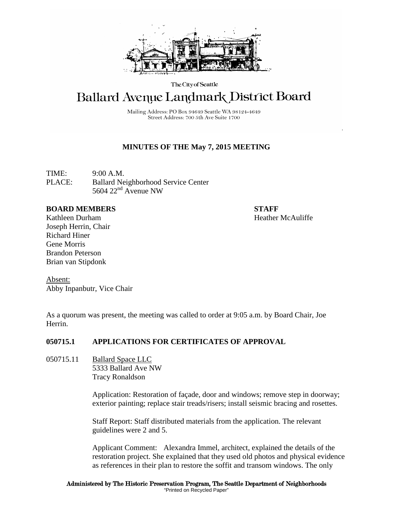

The City of Seattle

# **Ballard Avenue Landmark District Board**

Mailing Address: PO Box 94649 Seattle WA 98124-4649 Street Address: 700 5th Ave Suite 1700

# **MINUTES OF THE May 7, 2015 MEETING**

TIME: 9:00 A.M. PLACE: Ballard Neighborhood Service Center 5604 22nd Avenue NW

#### **BOARD MEMBERS STAFF**

Kathleen Durham **Heather McAuliffe** Joseph Herrin, Chair Richard Hiner Gene Morris Brandon Peterson Brian van Stipdonk

Absent: Abby Inpanbutr, Vice Chair

As a quorum was present, the meeting was called to order at 9:05 a.m. by Board Chair, Joe Herrin.

# **050715.1 APPLICATIONS FOR CERTIFICATES OF APPROVAL**

050715.11 Ballard Space LLC 5333 Ballard Ave NW Tracy Ronaldson

> Application: Restoration of façade, door and windows; remove step in doorway; exterior painting; replace stair treads/risers; install seismic bracing and rosettes.

Staff Report: Staff distributed materials from the application. The relevant guidelines were 2 and 5.

Applicant Comment: Alexandra Immel, architect, explained the details of the restoration project. She explained that they used old photos and physical evidence as references in their plan to restore the soffit and transom windows. The only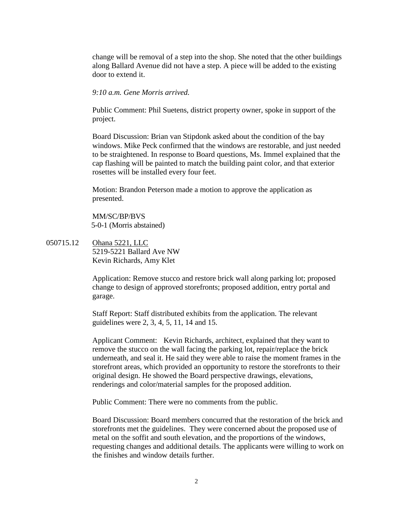change will be removal of a step into the shop. She noted that the other buildings along Ballard Avenue did not have a step. A piece will be added to the existing door to extend it.

*9:10 a.m. Gene Morris arrived.*

Public Comment: Phil Suetens, district property owner, spoke in support of the project.

Board Discussion: Brian van Stipdonk asked about the condition of the bay windows. Mike Peck confirmed that the windows are restorable, and just needed to be straightened. In response to Board questions, Ms. Immel explained that the cap flashing will be painted to match the building paint color, and that exterior rosettes will be installed every four feet.

Motion: Brandon Peterson made a motion to approve the application as presented.

MM/SC/BP/BVS 5-0-1 (Morris abstained)

050715.12 Ohana 5221, LLC 5219-5221 Ballard Ave NW Kevin Richards, Amy Klet

> Application: Remove stucco and restore brick wall along parking lot; proposed change to design of approved storefronts; proposed addition, entry portal and garage.

Staff Report: Staff distributed exhibits from the application. The relevant guidelines were 2, 3, 4, 5, 11, 14 and 15.

Applicant Comment: Kevin Richards, architect, explained that they want to remove the stucco on the wall facing the parking lot, repair/replace the brick underneath, and seal it. He said they were able to raise the moment frames in the storefront areas, which provided an opportunity to restore the storefronts to their original design. He showed the Board perspective drawings, elevations, renderings and color/material samples for the proposed addition.

Public Comment: There were no comments from the public.

Board Discussion: Board members concurred that the restoration of the brick and storefronts met the guidelines. They were concerned about the proposed use of metal on the soffit and south elevation, and the proportions of the windows, requesting changes and additional details. The applicants were willing to work on the finishes and window details further.